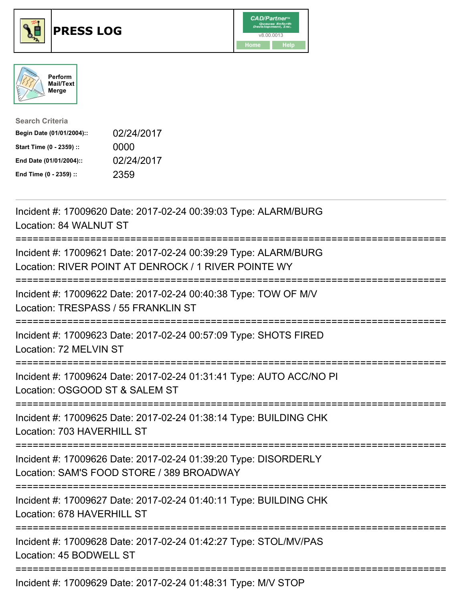

## **PRESS LOG** v8.00.0013





| <b>Search Criteria</b>    |            |
|---------------------------|------------|
| Begin Date (01/01/2004):: | 02/24/2017 |
| Start Time (0 - 2359) ::  | 0000       |
| End Date (01/01/2004)::   | 02/24/2017 |
| End Time (0 - 2359) ::    | 2359       |

Incident #: 17009620 Date: 2017-02-24 00:39:03 Type: ALARM/BURG Location: 84 WALNUT ST =========================================================================== Incident #: 17009621 Date: 2017-02-24 00:39:29 Type: ALARM/BURG Location: RIVER POINT AT DENROCK / 1 RIVER POINTE WY =========================================================================== Incident #: 17009622 Date: 2017-02-24 00:40:38 Type: TOW OF M/V Location: TRESPASS / 55 FRANKLIN ST =========================================================================== Incident #: 17009623 Date: 2017-02-24 00:57:09 Type: SHOTS FIRED Location: 72 MELVIN ST =========================================================================== Incident #: 17009624 Date: 2017-02-24 01:31:41 Type: AUTO ACC/NO PI Location: OSGOOD ST & SALEM ST =========================================================================== Incident #: 17009625 Date: 2017-02-24 01:38:14 Type: BUILDING CHK Location: 703 HAVERHILL ST =========================================================================== Incident #: 17009626 Date: 2017-02-24 01:39:20 Type: DISORDERLY Location: SAM'S FOOD STORE / 389 BROADWAY =========================================================================== Incident #: 17009627 Date: 2017-02-24 01:40:11 Type: BUILDING CHK Location: 678 HAVERHILL ST =========================================================================== Incident #: 17009628 Date: 2017-02-24 01:42:27 Type: STOL/MV/PAS Location: 45 BODWELL ST =========================================================================== Incident #: 17009629 Date: 2017-02-24 01:48:31 Type: M/V STOP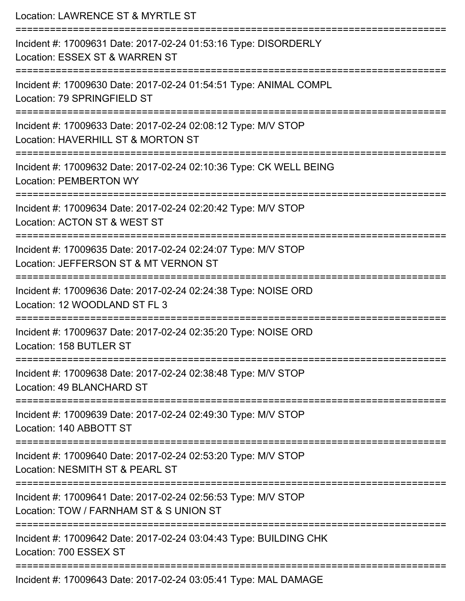| Location: LAWRENCE ST & MYRTLE ST                                                                                                     |
|---------------------------------------------------------------------------------------------------------------------------------------|
| Incident #: 17009631 Date: 2017-02-24 01:53:16 Type: DISORDERLY<br>Location: ESSEX ST & WARREN ST                                     |
| Incident #: 17009630 Date: 2017-02-24 01:54:51 Type: ANIMAL COMPL<br>Location: 79 SPRINGFIELD ST                                      |
| Incident #: 17009633 Date: 2017-02-24 02:08:12 Type: M/V STOP<br>Location: HAVERHILL ST & MORTON ST                                   |
| ;=============================<br>Incident #: 17009632 Date: 2017-02-24 02:10:36 Type: CK WELL BEING<br><b>Location: PEMBERTON WY</b> |
| Incident #: 17009634 Date: 2017-02-24 02:20:42 Type: M/V STOP<br>Location: ACTON ST & WEST ST<br>----------------------               |
| Incident #: 17009635 Date: 2017-02-24 02:24:07 Type: M/V STOP<br>Location: JEFFERSON ST & MT VERNON ST                                |
| Incident #: 17009636 Date: 2017-02-24 02:24:38 Type: NOISE ORD<br>Location: 12 WOODLAND ST FL 3                                       |
| Incident #: 17009637 Date: 2017-02-24 02:35:20 Type: NOISE ORD<br>Location: 158 BUTLER ST                                             |
| Incident #: 17009638 Date: 2017-02-24 02:38:48 Type: M/V STOP<br>Location: 49 BLANCHARD ST                                            |
| Incident #: 17009639 Date: 2017-02-24 02:49:30 Type: M/V STOP<br>Location: 140 ABBOTT ST                                              |
| Incident #: 17009640 Date: 2017-02-24 02:53:20 Type: M/V STOP<br>Location: NESMITH ST & PEARL ST                                      |
| Incident #: 17009641 Date: 2017-02-24 02:56:53 Type: M/V STOP<br>Location: TOW / FARNHAM ST & S UNION ST                              |
| Incident #: 17009642 Date: 2017-02-24 03:04:43 Type: BUILDING CHK<br>Location: 700 ESSEX ST                                           |
| Incident #: 17009643 Date: 2017-02-24 03:05:41 Type: MAL DAMAGE                                                                       |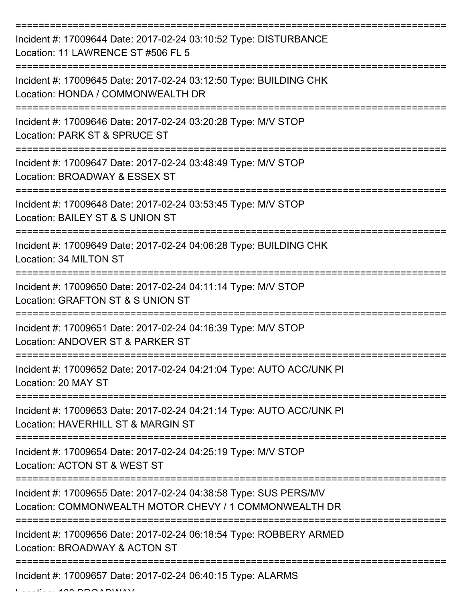| Incident #: 17009644 Date: 2017-02-24 03:10:52 Type: DISTURBANCE<br>Location: 11 LAWRENCE ST #506 FL 5                     |
|----------------------------------------------------------------------------------------------------------------------------|
| Incident #: 17009645 Date: 2017-02-24 03:12:50 Type: BUILDING CHK<br>Location: HONDA / COMMONWEALTH DR                     |
| Incident #: 17009646 Date: 2017-02-24 03:20:28 Type: M/V STOP<br>Location: PARK ST & SPRUCE ST                             |
| Incident #: 17009647 Date: 2017-02-24 03:48:49 Type: M/V STOP<br>Location: BROADWAY & ESSEX ST                             |
| Incident #: 17009648 Date: 2017-02-24 03:53:45 Type: M/V STOP<br>Location: BAILEY ST & S UNION ST                          |
| Incident #: 17009649 Date: 2017-02-24 04:06:28 Type: BUILDING CHK<br>Location: 34 MILTON ST                                |
| Incident #: 17009650 Date: 2017-02-24 04:11:14 Type: M/V STOP<br>Location: GRAFTON ST & S UNION ST                         |
| Incident #: 17009651 Date: 2017-02-24 04:16:39 Type: M/V STOP<br>Location: ANDOVER ST & PARKER ST                          |
| Incident #: 17009652 Date: 2017-02-24 04:21:04 Type: AUTO ACC/UNK PI<br>Location: 20 MAY ST                                |
| Incident #: 17009653 Date: 2017-02-24 04:21:14 Type: AUTO ACC/UNK PI<br>Location: HAVERHILL ST & MARGIN ST                 |
| Incident #: 17009654 Date: 2017-02-24 04:25:19 Type: M/V STOP<br>Location: ACTON ST & WEST ST                              |
| Incident #: 17009655 Date: 2017-02-24 04:38:58 Type: SUS PERS/MV<br>Location: COMMONWEALTH MOTOR CHEVY / 1 COMMONWEALTH DR |
| Incident #: 17009656 Date: 2017-02-24 06:18:54 Type: ROBBERY ARMED<br>Location: BROADWAY & ACTON ST                        |
| ------------------------------------<br>Incident #: 17009657 Date: 2017-02-24 06:40:15 Type: ALARMS                        |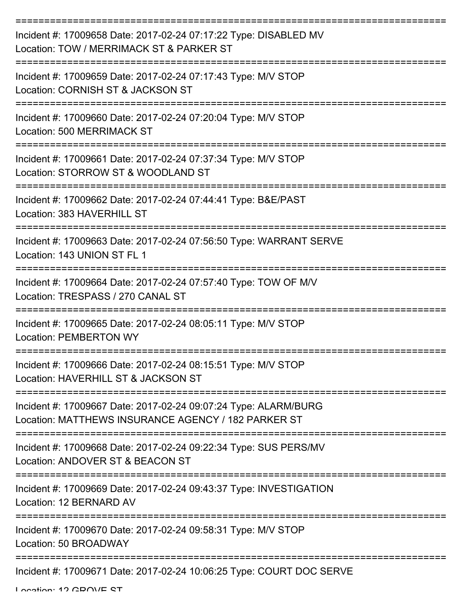| Incident #: 17009658 Date: 2017-02-24 07:17:22 Type: DISABLED MV<br>Location: TOW / MERRIMACK ST & PARKER ST           |
|------------------------------------------------------------------------------------------------------------------------|
| Incident #: 17009659 Date: 2017-02-24 07:17:43 Type: M/V STOP<br>Location: CORNISH ST & JACKSON ST                     |
| Incident #: 17009660 Date: 2017-02-24 07:20:04 Type: M/V STOP<br>Location: 500 MERRIMACK ST                            |
| Incident #: 17009661 Date: 2017-02-24 07:37:34 Type: M/V STOP<br>Location: STORROW ST & WOODLAND ST                    |
| Incident #: 17009662 Date: 2017-02-24 07:44:41 Type: B&E/PAST<br>Location: 383 HAVERHILL ST                            |
| Incident #: 17009663 Date: 2017-02-24 07:56:50 Type: WARRANT SERVE<br>Location: 143 UNION ST FL 1                      |
| Incident #: 17009664 Date: 2017-02-24 07:57:40 Type: TOW OF M/V<br>Location: TRESPASS / 270 CANAL ST                   |
| Incident #: 17009665 Date: 2017-02-24 08:05:11 Type: M/V STOP<br><b>Location: PEMBERTON WY</b>                         |
| Incident #: 17009666 Date: 2017-02-24 08:15:51 Type: M/V STOP<br>Location: HAVERHILL ST & JACKSON ST                   |
| Incident #: 17009667 Date: 2017-02-24 09:07:24 Type: ALARM/BURG<br>Location: MATTHEWS INSURANCE AGENCY / 182 PARKER ST |
| Incident #: 17009668 Date: 2017-02-24 09:22:34 Type: SUS PERS/MV<br>Location: ANDOVER ST & BEACON ST                   |
| Incident #: 17009669 Date: 2017-02-24 09:43:37 Type: INVESTIGATION<br>Location: 12 BERNARD AV                          |
| Incident #: 17009670 Date: 2017-02-24 09:58:31 Type: M/V STOP<br>Location: 50 BROADWAY                                 |
| Incident #: 17009671 Date: 2017-02-24 10:06:25 Type: COURT DOC SERVE                                                   |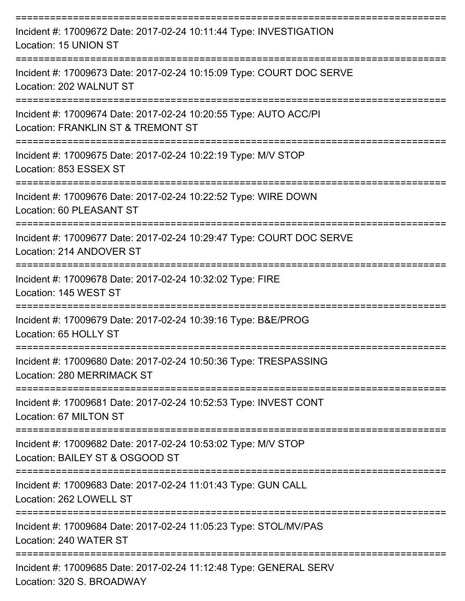| Incident #: 17009672 Date: 2017-02-24 10:11:44 Type: INVESTIGATION<br>Location: 15 UNION ST            |
|--------------------------------------------------------------------------------------------------------|
| Incident #: 17009673 Date: 2017-02-24 10:15:09 Type: COURT DOC SERVE<br>Location: 202 WALNUT ST        |
| Incident #: 17009674 Date: 2017-02-24 10:20:55 Type: AUTO ACC/PI<br>Location: FRANKLIN ST & TREMONT ST |
| Incident #: 17009675 Date: 2017-02-24 10:22:19 Type: M/V STOP<br>Location: 853 ESSEX ST                |
| Incident #: 17009676 Date: 2017-02-24 10:22:52 Type: WIRE DOWN<br>Location: 60 PLEASANT ST             |
| Incident #: 17009677 Date: 2017-02-24 10:29:47 Type: COURT DOC SERVE<br>Location: 214 ANDOVER ST       |
| Incident #: 17009678 Date: 2017-02-24 10:32:02 Type: FIRE<br>Location: 145 WEST ST                     |
| Incident #: 17009679 Date: 2017-02-24 10:39:16 Type: B&E/PROG<br>Location: 65 HOLLY ST                 |
| Incident #: 17009680 Date: 2017-02-24 10:50:36 Type: TRESPASSING<br>Location: 280 MERRIMACK ST         |
| Incident #: 17009681 Date: 2017-02-24 10:52:53 Type: INVEST CONT<br>Location: 67 MILTON ST             |
| Incident #: 17009682 Date: 2017-02-24 10:53:02 Type: M/V STOP<br>Location: BAILEY ST & OSGOOD ST       |
| Incident #: 17009683 Date: 2017-02-24 11:01:43 Type: GUN CALL<br>Location: 262 LOWELL ST               |
| Incident #: 17009684 Date: 2017-02-24 11:05:23 Type: STOL/MV/PAS<br>Location: 240 WATER ST             |
| Incident #: 17009685 Date: 2017-02-24 11:12:48 Type: GENERAL SERV<br>Location: 320 S. BROADWAY         |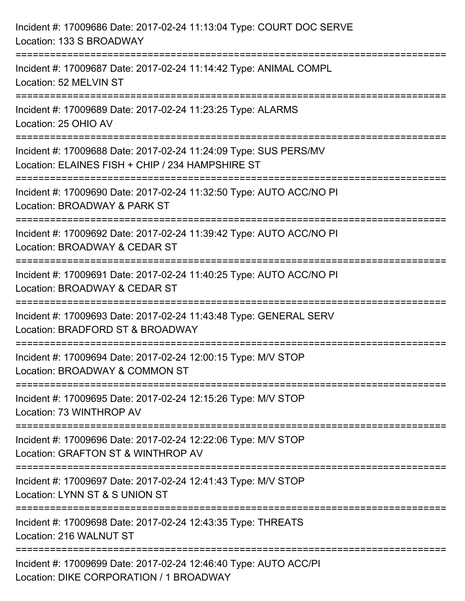| Incident #: 17009686 Date: 2017-02-24 11:13:04 Type: COURT DOC SERVE<br>Location: 133 S BROADWAY                                     |
|--------------------------------------------------------------------------------------------------------------------------------------|
| =====================================<br>Incident #: 17009687 Date: 2017-02-24 11:14:42 Type: ANIMAL COMPL<br>Location: 52 MELVIN ST |
| ====================================<br>Incident #: 17009689 Date: 2017-02-24 11:23:25 Type: ALARMS<br>Location: 25 OHIO AV          |
| Incident #: 17009688 Date: 2017-02-24 11:24:09 Type: SUS PERS/MV<br>Location: ELAINES FISH + CHIP / 234 HAMPSHIRE ST                 |
| :==========================<br>Incident #: 17009690 Date: 2017-02-24 11:32:50 Type: AUTO ACC/NO PI<br>Location: BROADWAY & PARK ST   |
| Incident #: 17009692 Date: 2017-02-24 11:39:42 Type: AUTO ACC/NO PI<br>Location: BROADWAY & CEDAR ST                                 |
| :==================<br>Incident #: 17009691 Date: 2017-02-24 11:40:25 Type: AUTO ACC/NO PI<br>Location: BROADWAY & CEDAR ST          |
| Incident #: 17009693 Date: 2017-02-24 11:43:48 Type: GENERAL SERV<br>Location: BRADFORD ST & BROADWAY                                |
| Incident #: 17009694 Date: 2017-02-24 12:00:15 Type: M/V STOP<br>Location: BROADWAY & COMMON ST                                      |
| Incident #: 17009695 Date: 2017-02-24 12:15:26 Type: M/V STOP<br>Location: 73 WINTHROP AV                                            |
| Incident #: 17009696 Date: 2017-02-24 12:22:06 Type: M/V STOP<br>Location: GRAFTON ST & WINTHROP AV                                  |
| Incident #: 17009697 Date: 2017-02-24 12:41:43 Type: M/V STOP<br>Location: LYNN ST & S UNION ST                                      |
| Incident #: 17009698 Date: 2017-02-24 12:43:35 Type: THREATS<br>Location: 216 WALNUT ST                                              |
| Incident #: 17009699 Date: 2017-02-24 12:46:40 Type: AUTO ACC/PI<br>Location: DIKE CORPORATION / 1 BROADWAY                          |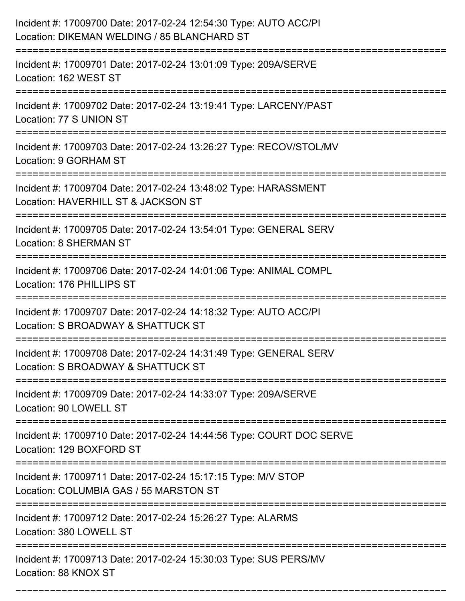| Incident #: 17009700 Date: 2017-02-24 12:54:30 Type: AUTO ACC/PI<br>Location: DIKEMAN WELDING / 85 BLANCHARD ST                                              |
|--------------------------------------------------------------------------------------------------------------------------------------------------------------|
| Incident #: 17009701 Date: 2017-02-24 13:01:09 Type: 209A/SERVE<br>Location: 162 WEST ST                                                                     |
| Incident #: 17009702 Date: 2017-02-24 13:19:41 Type: LARCENY/PAST<br>Location: 77 S UNION ST                                                                 |
| Incident #: 17009703 Date: 2017-02-24 13:26:27 Type: RECOV/STOL/MV<br>Location: 9 GORHAM ST                                                                  |
| Incident #: 17009704 Date: 2017-02-24 13:48:02 Type: HARASSMENT<br>Location: HAVERHILL ST & JACKSON ST<br>========================<br>====================== |
| Incident #: 17009705 Date: 2017-02-24 13:54:01 Type: GENERAL SERV<br><b>Location: 8 SHERMAN ST</b>                                                           |
| Incident #: 17009706 Date: 2017-02-24 14:01:06 Type: ANIMAL COMPL<br>Location: 176 PHILLIPS ST                                                               |
| Incident #: 17009707 Date: 2017-02-24 14:18:32 Type: AUTO ACC/PI<br>Location: S BROADWAY & SHATTUCK ST                                                       |
| Incident #: 17009708 Date: 2017-02-24 14:31:49 Type: GENERAL SERV<br>Location: S BROADWAY & SHATTUCK ST                                                      |
| Incident #: 17009709 Date: 2017-02-24 14:33:07 Type: 209A/SERVE<br>Location: 90 LOWELL ST                                                                    |
| Incident #: 17009710 Date: 2017-02-24 14:44:56 Type: COURT DOC SERVE<br>Location: 129 BOXFORD ST                                                             |
| Incident #: 17009711 Date: 2017-02-24 15:17:15 Type: M/V STOP<br>Location: COLUMBIA GAS / 55 MARSTON ST                                                      |
| ===============<br>Incident #: 17009712 Date: 2017-02-24 15:26:27 Type: ALARMS<br>Location: 380 LOWELL ST                                                    |
| Incident #: 17009713 Date: 2017-02-24 15:30:03 Type: SUS PERS/MV<br>Location: 88 KNOX ST                                                                     |

===========================================================================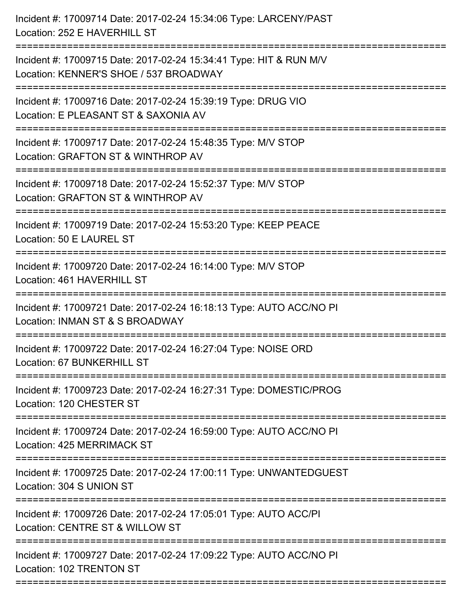| :============================<br>==================<br>Location: 50 E LAUREL ST<br>Incident #: 17009720 Date: 2017-02-24 16:14:00 Type: M/V STOP<br>Location: INMAN ST & S BROADWAY<br>Incident #: 17009723 Date: 2017-02-24 16:27:31 Type: DOMESTIC/PROG<br>======================<br>===============================<br>Incident #: 17009724 Date: 2017-02-24 16:59:00 Type: AUTO ACC/NO PI<br>Location: 425 MERRIMACK ST<br>Incident #: 17009725 Date: 2017-02-24 17:00:11 Type: UNWANTEDGUEST<br>Location: CENTRE ST & WILLOW ST | Incident #: 17009714 Date: 2017-02-24 15:34:06 Type: LARCENY/PAST<br>Location: 252 E HAVERHILL ST            |
|--------------------------------------------------------------------------------------------------------------------------------------------------------------------------------------------------------------------------------------------------------------------------------------------------------------------------------------------------------------------------------------------------------------------------------------------------------------------------------------------------------------------------------------|--------------------------------------------------------------------------------------------------------------|
|                                                                                                                                                                                                                                                                                                                                                                                                                                                                                                                                      | Incident #: 17009715 Date: 2017-02-24 15:34:41 Type: HIT & RUN M/V<br>Location: KENNER'S SHOE / 537 BROADWAY |
|                                                                                                                                                                                                                                                                                                                                                                                                                                                                                                                                      | Incident #: 17009716 Date: 2017-02-24 15:39:19 Type: DRUG VIO<br>Location: E PLEASANT ST & SAXONIA AV        |
|                                                                                                                                                                                                                                                                                                                                                                                                                                                                                                                                      | Incident #: 17009717 Date: 2017-02-24 15:48:35 Type: M/V STOP<br>Location: GRAFTON ST & WINTHROP AV          |
|                                                                                                                                                                                                                                                                                                                                                                                                                                                                                                                                      | Incident #: 17009718 Date: 2017-02-24 15:52:37 Type: M/V STOP<br>Location: GRAFTON ST & WINTHROP AV          |
|                                                                                                                                                                                                                                                                                                                                                                                                                                                                                                                                      | Incident #: 17009719 Date: 2017-02-24 15:53:20 Type: KEEP PEACE                                              |
|                                                                                                                                                                                                                                                                                                                                                                                                                                                                                                                                      | Location: 461 HAVERHILL ST                                                                                   |
|                                                                                                                                                                                                                                                                                                                                                                                                                                                                                                                                      | Incident #: 17009721 Date: 2017-02-24 16:18:13 Type: AUTO ACC/NO PI                                          |
|                                                                                                                                                                                                                                                                                                                                                                                                                                                                                                                                      | Incident #: 17009722 Date: 2017-02-24 16:27:04 Type: NOISE ORD<br>Location: 67 BUNKERHILL ST                 |
|                                                                                                                                                                                                                                                                                                                                                                                                                                                                                                                                      | Location: 120 CHESTER ST                                                                                     |
|                                                                                                                                                                                                                                                                                                                                                                                                                                                                                                                                      |                                                                                                              |
|                                                                                                                                                                                                                                                                                                                                                                                                                                                                                                                                      | Location: 304 S UNION ST                                                                                     |
|                                                                                                                                                                                                                                                                                                                                                                                                                                                                                                                                      | Incident #: 17009726 Date: 2017-02-24 17:05:01 Type: AUTO ACC/PI                                             |
|                                                                                                                                                                                                                                                                                                                                                                                                                                                                                                                                      | Incident #: 17009727 Date: 2017-02-24 17:09:22 Type: AUTO ACC/NO PI<br>Location: 102 TRENTON ST              |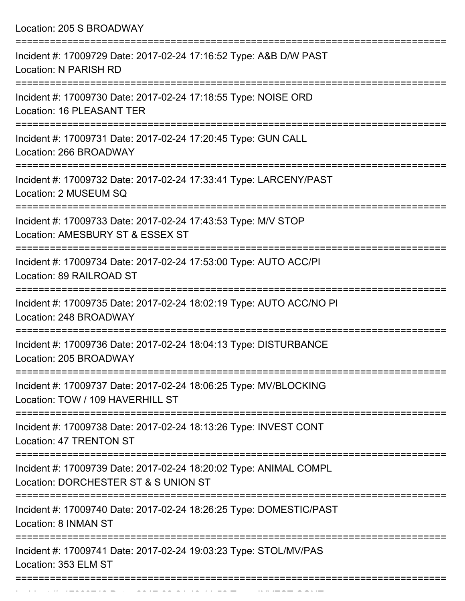Location: 205 S BROADWAY =========================================================================== Incident #: 17009729 Date: 2017-02-24 17:16:52 Type: A&B D/W PAST Location: N PARISH RD =========================================================================== Incident #: 17009730 Date: 2017-02-24 17:18:55 Type: NOISE ORD Location: 16 PLEASANT TER =========================================================================== Incident #: 17009731 Date: 2017-02-24 17:20:45 Type: GUN CALL Location: 266 BROADWAY =========================================================================== Incident #: 17009732 Date: 2017-02-24 17:33:41 Type: LARCENY/PAST Location: 2 MUSEUM SQ =========================================================================== Incident #: 17009733 Date: 2017-02-24 17:43:53 Type: M/V STOP Location: AMESBURY ST & ESSEX ST =========================================================================== Incident #: 17009734 Date: 2017-02-24 17:53:00 Type: AUTO ACC/PI Location: 89 RAILROAD ST =========================================================================== Incident #: 17009735 Date: 2017-02-24 18:02:19 Type: AUTO ACC/NO PI Location: 248 BROADWAY =========================================================================== Incident #: 17009736 Date: 2017-02-24 18:04:13 Type: DISTURBANCE Location: 205 BROADWAY =========================================================================== Incident #: 17009737 Date: 2017-02-24 18:06:25 Type: MV/BLOCKING Location: TOW / 109 HAVERHILL ST =========================================================================== Incident #: 17009738 Date: 2017-02-24 18:13:26 Type: INVEST CONT Location: 47 TRENTON ST =========================================================================== Incident #: 17009739 Date: 2017-02-24 18:20:02 Type: ANIMAL COMPL Location: DORCHESTER ST & S UNION ST =========================================================================== Incident #: 17009740 Date: 2017-02-24 18:26:25 Type: DOMESTIC/PAST Location: 8 INMAN ST =========================================================================== Incident #: 17009741 Date: 2017-02-24 19:03:23 Type: STOL/MV/PAS Location: 353 ELM ST ===========================================================================

Incident #: 17009742 Date: 2017 02 24 19:11:52 Type: INVEST CONT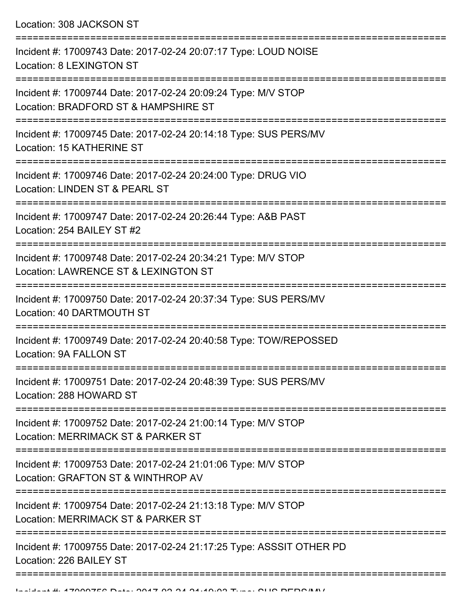Location: 308 JACKSON ST

| Incident #: 17009743 Date: 2017-02-24 20:07:17 Type: LOUD NOISE<br><b>Location: 8 LEXINGTON ST</b>                      |
|-------------------------------------------------------------------------------------------------------------------------|
| Incident #: 17009744 Date: 2017-02-24 20:09:24 Type: M/V STOP<br>Location: BRADFORD ST & HAMPSHIRE ST                   |
| Incident #: 17009745 Date: 2017-02-24 20:14:18 Type: SUS PERS/MV<br>Location: 15 KATHERINE ST                           |
| Incident #: 17009746 Date: 2017-02-24 20:24:00 Type: DRUG VIO<br>Location: LINDEN ST & PEARL ST                         |
| Incident #: 17009747 Date: 2017-02-24 20:26:44 Type: A&B PAST<br>Location: 254 BAILEY ST #2                             |
| Incident #: 17009748 Date: 2017-02-24 20:34:21 Type: M/V STOP<br>Location: LAWRENCE ST & LEXINGTON ST                   |
| Incident #: 17009750 Date: 2017-02-24 20:37:34 Type: SUS PERS/MV<br>Location: 40 DARTMOUTH ST                           |
| Incident #: 17009749 Date: 2017-02-24 20:40:58 Type: TOW/REPOSSED<br>Location: 9A FALLON ST                             |
| Incident #: 17009751 Date: 2017-02-24 20:48:39 Type: SUS PERS/MV<br>Location: 288 HOWARD ST                             |
| ================<br>Incident #: 17009752 Date: 2017-02-24 21:00:14 Type: M/V STOP<br>Location: MERRIMACK ST & PARKER ST |
| Incident #: 17009753 Date: 2017-02-24 21:01:06 Type: M/V STOP<br>Location: GRAFTON ST & WINTHROP AV                     |
| Incident #: 17009754 Date: 2017-02-24 21:13:18 Type: M/V STOP<br>Location: MERRIMACK ST & PARKER ST                     |
| Incident #: 17009755 Date: 2017-02-24 21:17:25 Type: ASSSIT OTHER PD<br>Location: 226 BAILEY ST                         |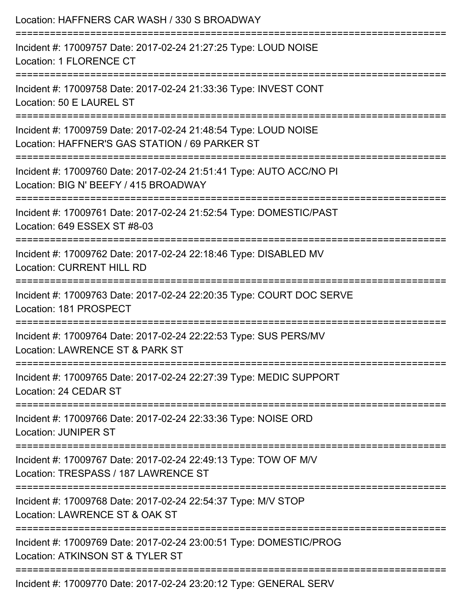| Location: HAFFNERS CAR WASH / 330 S BROADWAY                                                                                               |
|--------------------------------------------------------------------------------------------------------------------------------------------|
| Incident #: 17009757 Date: 2017-02-24 21:27:25 Type: LOUD NOISE<br>Location: 1 FLORENCE CT                                                 |
| Incident #: 17009758 Date: 2017-02-24 21:33:36 Type: INVEST CONT<br>Location: 50 E LAUREL ST                                               |
| Incident #: 17009759 Date: 2017-02-24 21:48:54 Type: LOUD NOISE<br>Location: HAFFNER'S GAS STATION / 69 PARKER ST                          |
| :=========================<br>Incident #: 17009760 Date: 2017-02-24 21:51:41 Type: AUTO ACC/NO PI<br>Location: BIG N' BEEFY / 415 BROADWAY |
| Incident #: 17009761 Date: 2017-02-24 21:52:54 Type: DOMESTIC/PAST<br>Location: 649 ESSEX ST #8-03                                         |
| Incident #: 17009762 Date: 2017-02-24 22:18:46 Type: DISABLED MV<br><b>Location: CURRENT HILL RD</b>                                       |
| Incident #: 17009763 Date: 2017-02-24 22:20:35 Type: COURT DOC SERVE<br>Location: 181 PROSPECT                                             |
| Incident #: 17009764 Date: 2017-02-24 22:22:53 Type: SUS PERS/MV<br>Location: LAWRENCE ST & PARK ST                                        |
| Incident #: 17009765 Date: 2017-02-24 22:27:39 Type: MEDIC SUPPORT<br>Location: 24 CEDAR ST                                                |
| Incident #: 17009766 Date: 2017-02-24 22:33:36 Type: NOISE ORD<br><b>Location: JUNIPER ST</b>                                              |
| Incident #: 17009767 Date: 2017-02-24 22:49:13 Type: TOW OF M/V<br>Location: TRESPASS / 187 LAWRENCE ST                                    |
| Incident #: 17009768 Date: 2017-02-24 22:54:37 Type: M/V STOP<br>Location: LAWRENCE ST & OAK ST                                            |
| Incident #: 17009769 Date: 2017-02-24 23:00:51 Type: DOMESTIC/PROG<br>Location: ATKINSON ST & TYLER ST                                     |
| Incident #: 17009770 Date: 2017-02-24 23:20:12 Type: GENERAL SERV                                                                          |